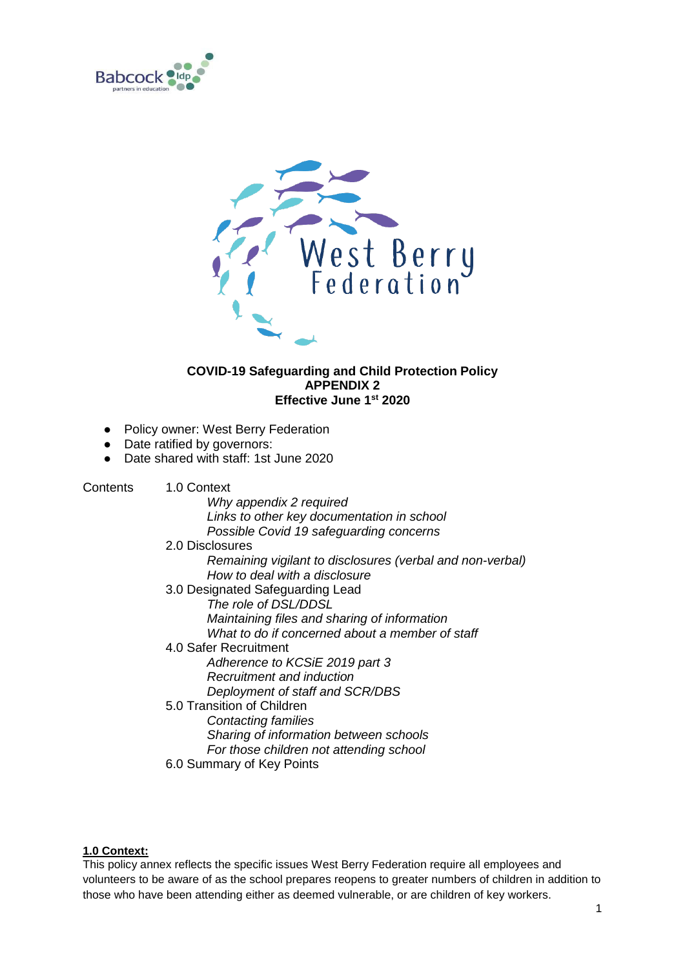



# **COVID-19 Safeguarding and Child Protection Policy APPENDIX 2 Effective June 1st 2020**

- Policy owner: West Berry Federation
- Date ratified by governors:
- Date shared with staff: 1st June 2020

Contents 1.0 Context

*Why appendix 2 required Links to other key documentation in school Possible Covid 19 safeguarding concerns*

2.0 Disclosures *Remaining vigilant to disclosures (verbal and non-verbal) How to deal with a disclosure*  3.0 Designated Safeguarding Lead *The role of DSL/DDSL Maintaining files and sharing of information What to do if concerned about a member of staff* 4.0 Safer Recruitment *Adherence to KCSiE 2019 part 3 Recruitment and induction Deployment of staff and SCR/DBS* 5.0 Transition of Children *Contacting families*

*Sharing of information between schools*

*For those children not attending school*

6.0 Summary of Key Points

## **1.0 Context:**

This policy annex reflects the specific issues West Berry Federation require all employees and volunteers to be aware of as the school prepares reopens to greater numbers of children in addition to those who have been attending either as deemed vulnerable, or are children of key workers.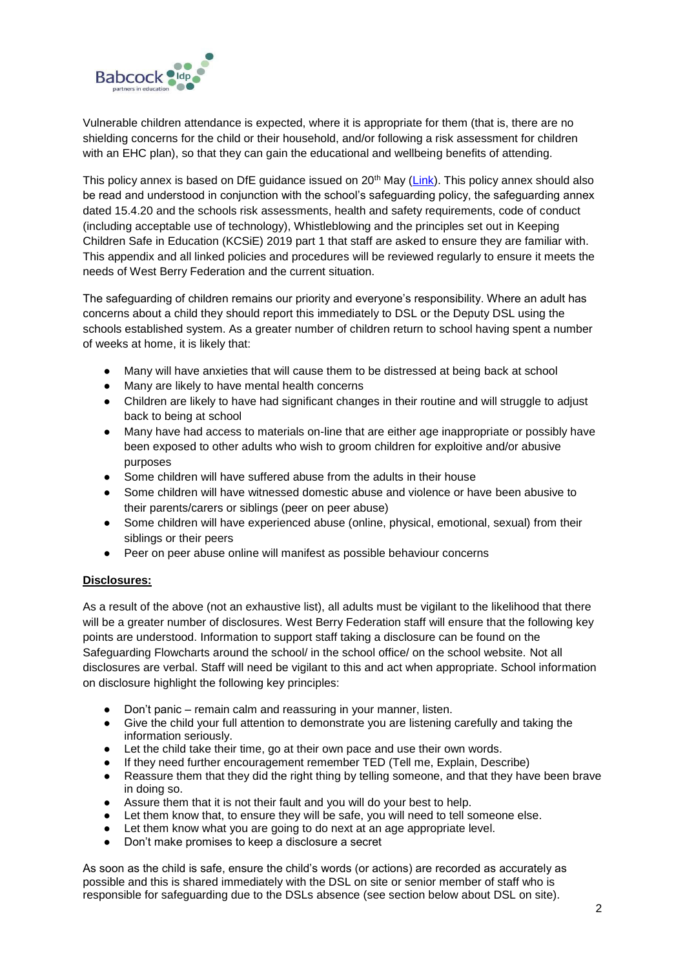

Vulnerable children attendance is expected, where it is appropriate for them (that is, there are no shielding concerns for the child or their household, and/or following a risk assessment for children with an EHC plan), so that they can gain the educational and wellbeing benefits of attending.

This policy annex is based on DfE guidance issued on 20<sup>th</sup> May [\(Link\)](https://www.gov.uk/government/publications/covid-19-safeguarding-in-schools-colleges-and-other-providers/coronavirus-covid-19-safeguarding-in-schools-colleges-and-other-providers). This policy annex should also be read and understood in conjunction with the school's safeguarding policy, the safeguarding annex dated 15.4.20 and the schools risk assessments, health and safety requirements, code of conduct (including acceptable use of technology), Whistleblowing and the principles set out in Keeping Children Safe in Education (KCSiE) 2019 part 1 that staff are asked to ensure they are familiar with. This appendix and all linked policies and procedures will be reviewed regularly to ensure it meets the needs of West Berry Federation and the current situation.

The safeguarding of children remains our priority and everyone's responsibility. Where an adult has concerns about a child they should report this immediately to DSL or the Deputy DSL using the schools established system. As a greater number of children return to school having spent a number of weeks at home, it is likely that:

- Many will have anxieties that will cause them to be distressed at being back at school
- Many are likely to have mental health concerns
- Children are likely to have had significant changes in their routine and will struggle to adjust back to being at school
- Many have had access to materials on-line that are either age inappropriate or possibly have been exposed to other adults who wish to groom children for exploitive and/or abusive purposes
- Some children will have suffered abuse from the adults in their house
- Some children will have witnessed domestic abuse and violence or have been abusive to their parents/carers or siblings (peer on peer abuse)
- Some children will have experienced abuse (online, physical, emotional, sexual) from their siblings or their peers
- Peer on peer abuse online will manifest as possible behaviour concerns

## **Disclosures:**

As a result of the above (not an exhaustive list), all adults must be vigilant to the likelihood that there will be a greater number of disclosures. West Berry Federation staff will ensure that the following key points are understood. Information to support staff taking a disclosure can be found on the Safeguarding Flowcharts around the school/ in the school office/ on the school website*.* Not all disclosures are verbal. Staff will need be vigilant to this and act when appropriate. School information on disclosure highlight the following key principles:

- Don't panic remain calm and reassuring in your manner, listen.
- Give the child your full attention to demonstrate you are listening carefully and taking the information seriously.
- Let the child take their time, go at their own pace and use their own words.
- If they need further encouragement remember TED (Tell me, Explain, Describe)
- Reassure them that they did the right thing by telling someone, and that they have been brave in doing so.
- Assure them that it is not their fault and you will do your best to help.
- Let them know that, to ensure they will be safe, you will need to tell someone else.
- Let them know what you are going to do next at an age appropriate level.
- Don't make promises to keep a disclosure a secret

As soon as the child is safe, ensure the child's words (or actions) are recorded as accurately as possible and this is shared immediately with the DSL on site or senior member of staff who is responsible for safeguarding due to the DSLs absence (see section below about DSL on site).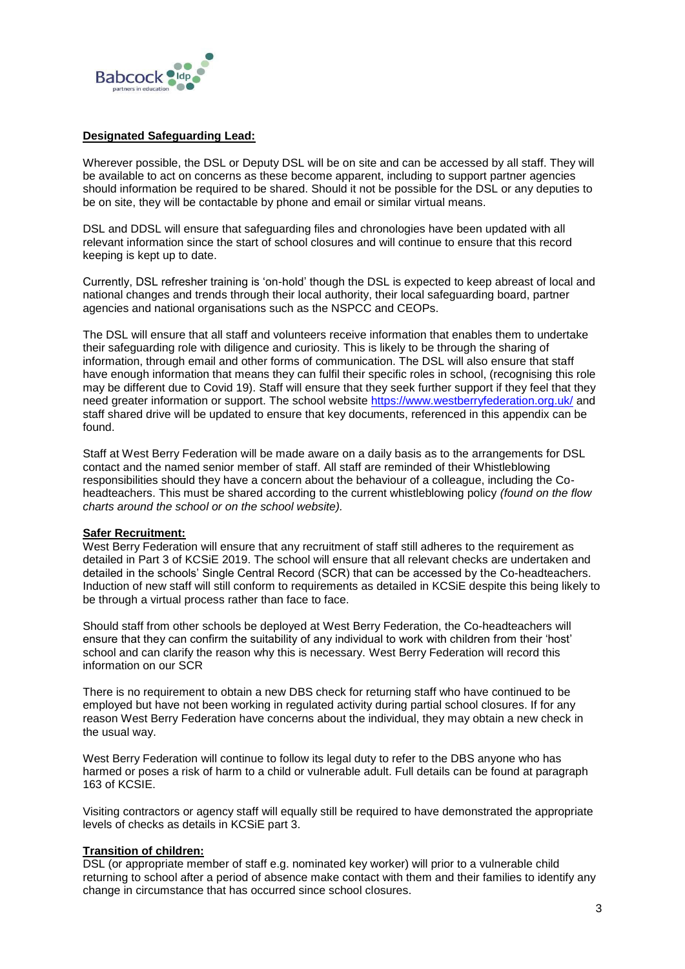

### **Designated Safeguarding Lead:**

Wherever possible, the DSL or Deputy DSL will be on site and can be accessed by all staff. They will be available to act on concerns as these become apparent, including to support partner agencies should information be required to be shared. Should it not be possible for the DSL or any deputies to be on site, they will be contactable by phone and email or similar virtual means.

DSL and DDSL will ensure that safeguarding files and chronologies have been updated with all relevant information since the start of school closures and will continue to ensure that this record keeping is kept up to date.

Currently, DSL refresher training is 'on-hold' though the DSL is expected to keep abreast of local and national changes and trends through their local authority, their local safeguarding board, partner agencies and national organisations such as the NSPCC and CEOPs.

The DSL will ensure that all staff and volunteers receive information that enables them to undertake their safeguarding role with diligence and curiosity. This is likely to be through the sharing of information, through email and other forms of communication. The DSL will also ensure that staff have enough information that means they can fulfil their specific roles in school, (recognising this role may be different due to Covid 19). Staff will ensure that they seek further support if they feel that they need greater information or support. The school website<https://www.westberryfederation.org.uk/> and staff shared drive will be updated to ensure that key documents, referenced in this appendix can be found.

Staff at West Berry Federation will be made aware on a daily basis as to the arrangements for DSL contact and the named senior member of staff. All staff are reminded of their Whistleblowing responsibilities should they have a concern about the behaviour of a colleague, including the Coheadteachers. This must be shared according to the current whistleblowing policy *(found on the flow charts around the school or on the school website).*

#### **Safer Recruitment:**

West Berry Federation will ensure that any recruitment of staff still adheres to the requirement as detailed in Part 3 of KCSiE 2019. The school will ensure that all relevant checks are undertaken and detailed in the schools' Single Central Record (SCR) that can be accessed by the Co-headteachers. Induction of new staff will still conform to requirements as detailed in KCSiE despite this being likely to be through a virtual process rather than face to face.

Should staff from other schools be deployed at West Berry Federation, the Co-headteachers will ensure that they can confirm the suitability of any individual to work with children from their 'host' school and can clarify the reason why this is necessary. West Berry Federation will record this information on our SCR

There is no requirement to obtain a new DBS check for returning staff who have continued to be employed but have not been working in regulated activity during partial school closures. If for any reason West Berry Federation have concerns about the individual, they may obtain a new check in the usual way.

West Berry Federation will continue to follow its legal duty to refer to the DBS anyone who has harmed or poses a risk of harm to a child or vulnerable adult. Full details can be found at paragraph 163 of KCSIE.

Visiting contractors or agency staff will equally still be required to have demonstrated the appropriate levels of checks as details in KCSiE part 3.

## **Transition of children:**

DSL (or appropriate member of staff e.g. nominated key worker) will prior to a vulnerable child returning to school after a period of absence make contact with them and their families to identify any change in circumstance that has occurred since school closures.